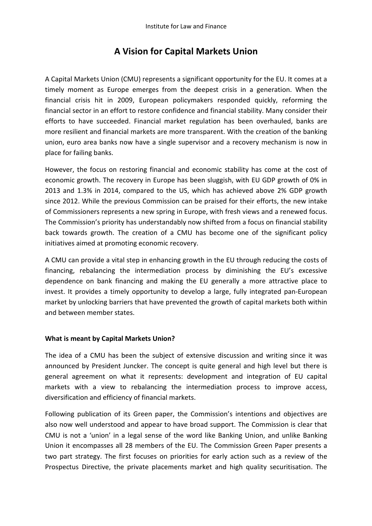# **A Vision for Capital Markets Union**

A Capital Markets Union (CMU) represents a significant opportunity for the EU. It comes at a timely moment as Europe emerges from the deepest crisis in a generation. When the financial crisis hit in 2009, European policymakers responded quickly, reforming the financial sector in an effort to restore confidence and financial stability. Many consider their efforts to have succeeded. Financial market regulation has been overhauled, banks are more resilient and financial markets are more transparent. With the creation of the banking union, euro area banks now have a single supervisor and a recovery mechanism is now in place for failing banks.

However, the focus on restoring financial and economic stability has come at the cost of economic growth. The recovery in Europe has been sluggish, with EU GDP growth of 0% in 2013 and 1.3% in 2014, compared to the US, which has achieved above 2% GDP growth since 2012. While the previous Commission can be praised for their efforts, the new intake of Commissioners represents a new spring in Europe, with fresh views and a renewed focus. The Commission's priority has understandably now shifted from a focus on financial stability back towards growth. The creation of a CMU has become one of the significant policy initiatives aimed at promoting economic recovery.

A CMU can provide a vital step in enhancing growth in the EU through reducing the costs of financing, rebalancing the intermediation process by diminishing the EU's excessive dependence on bank financing and making the EU generally a more attractive place to invest. It provides a timely opportunity to develop a large, fully integrated pan-European market by unlocking barriers that have prevented the growth of capital markets both within and between member states.

# **What is meant by Capital Markets Union?**

The idea of a CMU has been the subject of extensive discussion and writing since it was announced by President Juncker. The concept is quite general and high level but there is general agreement on what it represents: development and integration of EU capital markets with a view to rebalancing the intermediation process to improve access, diversification and efficiency of financial markets.

Following publication of its Green paper, the Commission's intentions and objectives are also now well understood and appear to have broad support. The Commission is clear that CMU is not a 'union' in a legal sense of the word like Banking Union, and unlike Banking Union it encompasses all 28 members of the EU. The Commission Green Paper presents a two part strategy. The first focuses on priorities for early action such as a review of the Prospectus Directive, the private placements market and high quality securitisation. The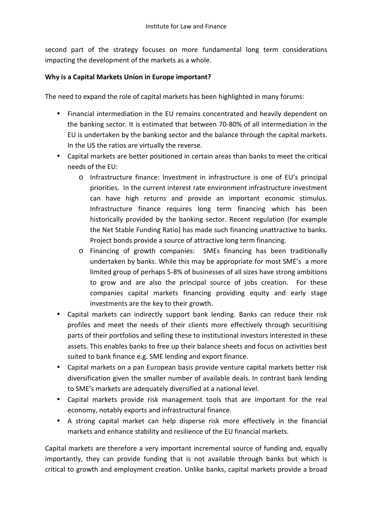second part of the strategy focuses on more fundamental long term considerations impacting the development of the markets as a whole.

# **Why is a Capital Markets Union in Europe important?**

The need to expand the role of capital markets has been highlighted in many forums:

- Financial intermediation in the EU remains concentrated and heavily dependent on the banking sector. It is estimated that between 70-80% of all intermediation in the EU is undertaken by the banking sector and the balance through the capital markets. In the US the ratios are virtually the reverse.
- Capital markets are better positioned in certain areas than banks to meet the critical needs of the EU:
	- o Infrastructure finance: Investment in infrastructure is one of EU's principal priorities. In the current interest rate environment infrastructure investment can have high returns and provide an important economic stimulus. Infrastructure finance requires long term financing which has been historically provided by the banking sector. Recent regulation (for example the Net Stable Funding Ratio) has made such financing unattractive to banks. Project bonds provide a source of attractive long term financing.
	- o Financing of growth companies: SMEs financing has been traditionally undertaken by banks. While this may be appropriate for most SME's a more limited group of perhaps 5-8% of businesses of all sizes have strong ambitions to grow and are also the principal source of jobs creation. For these companies capital markets financing providing equity and early stage investments are the key to their growth.
- Capital markets can indirectly support bank lending. Banks can reduce their risk profiles and meet the needs of their clients more effectively through securitising parts of their portfolios and selling these to institutional investors interested in these assets. This enables banks to free up their balance sheets and focus on activities best suited to bank finance e.g. SME lending and export finance.
- Capital markets on a pan European basis provide venture capital markets better risk diversification given the smaller number of available deals. In contrast bank lending to SME's markets are adequately diversified at a national level.
- Capital markets provide risk management tools that are important for the real economy, notably exports and infrastructural finance.
- A strong capital market can help disperse risk more effectively in the financial markets and enhance stability and resilience of the EU financial markets.

Capital markets are therefore a very important incremental source of funding and, equally importantly, they can provide funding that is not available through banks but which is critical to growth and employment creation. Unlike banks, capital markets provide a broad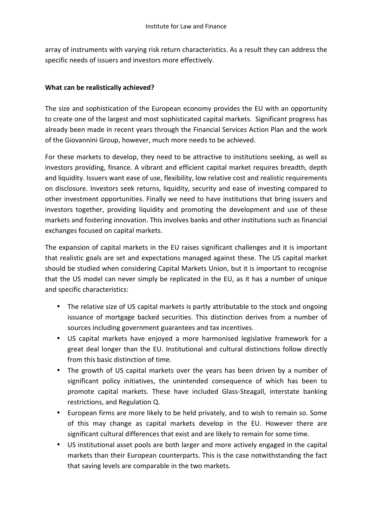array of instruments with varying risk return characteristics. As a result they can address the specific needs of issuers and investors more effectively.

#### **What can be realistically achieved?**

The size and sophistication of the European economy provides the EU with an opportunity to create one of the largest and most sophisticated capital markets. Significant progress has already been made in recent years through the Financial Services Action Plan and the work of the Giovannini Group, however, much more needs to be achieved.

For these markets to develop, they need to be attractive to institutions seeking, as well as investors providing, finance. A vibrant and efficient capital market requires breadth, depth and liquidity. Issuers want ease of use, flexibility, low relative cost and realistic requirements on disclosure. Investors seek returns, liquidity, security and ease of investing compared to other investment opportunities. Finally we need to have institutions that bring issuers and investors together, providing liquidity and promoting the development and use of these markets and fostering innovation. This involves banks and other institutions such as financial exchanges focused on capital markets.

The expansion of capital markets in the EU raises significant challenges and it is important that realistic goals are set and expectations managed against these. The US capital market should be studied when considering Capital Markets Union, but it is important to recognise that the US model can never simply be replicated in the EU, as it has a number of unique and specific characteristics:

- The relative size of US capital markets is partly attributable to the stock and ongoing issuance of mortgage backed securities. This distinction derives from a number of sources including government guarantees and tax incentives.
- US capital markets have enjoyed a more harmonised legislative framework for a great deal longer than the EU. Institutional and cultural distinctions follow directly from this basic distinction of time.
- The growth of US capital markets over the years has been driven by a number of significant policy initiatives, the unintended consequence of which has been to promote capital markets. These have included Glass-Steagall, interstate banking restrictions, and Regulation Q.
- European firms are more likely to be held privately, and to wish to remain so. Some of this may change as capital markets develop in the EU. However there are significant cultural differences that exist and are likely to remain for some time.
- US institutional asset pools are both larger and more actively engaged in the capital markets than their European counterparts. This is the case notwithstanding the fact that saving levels are comparable in the two markets.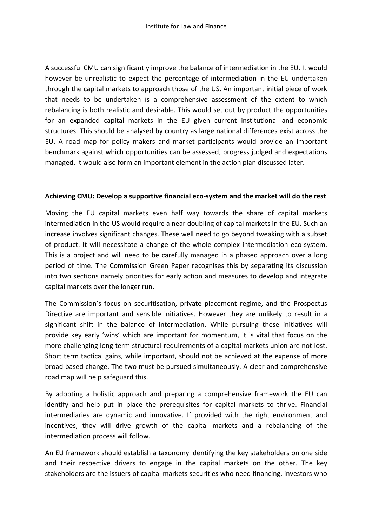A successful CMU can significantly improve the balance of intermediation in the EU. It would however be unrealistic to expect the percentage of intermediation in the EU undertaken through the capital markets to approach those of the US. An important initial piece of work that needs to be undertaken is a comprehensive assessment of the extent to which rebalancing is both realistic and desirable. This would set out by product the opportunities for an expanded capital markets in the EU given current institutional and economic structures. This should be analysed by country as large national differences exist across the EU. A road map for policy makers and market participants would provide an important benchmark against which opportunities can be assessed, progress judged and expectations managed. It would also form an important element in the action plan discussed later.

#### **Achieving CMU: Develop a supportive financial eco-system and the market will do the rest**

Moving the EU capital markets even half way towards the share of capital markets intermediation in the US would require a near doubling of capital markets in the EU. Such an increase involves significant changes. These well need to go beyond tweaking with a subset of product. It will necessitate a change of the whole complex intermediation eco-system. This is a project and will need to be carefully managed in a phased approach over a long period of time. The Commission Green Paper recognises this by separating its discussion into two sections namely priorities for early action and measures to develop and integrate capital markets over the longer run.

The Commission's focus on securitisation, private placement regime, and the Prospectus Directive are important and sensible initiatives. However they are unlikely to result in a significant shift in the balance of intermediation. While pursuing these initiatives will provide key early 'wins' which are important for momentum, it is vital that focus on the more challenging long term structural requirements of a capital markets union are not lost. Short term tactical gains, while important, should not be achieved at the expense of more broad based change. The two must be pursued simultaneously. A clear and comprehensive road map will help safeguard this.

By adopting a holistic approach and preparing a comprehensive framework the EU can identify and help put in place the prerequisites for capital markets to thrive. Financial intermediaries are dynamic and innovative. If provided with the right environment and incentives, they will drive growth of the capital markets and a rebalancing of the intermediation process will follow.

An EU framework should establish a taxonomy identifying the key stakeholders on one side and their respective drivers to engage in the capital markets on the other. The key stakeholders are the issuers of capital markets securities who need financing, investors who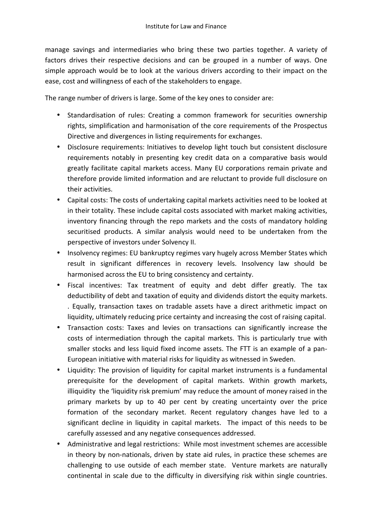manage savings and intermediaries who bring these two parties together. A variety of factors drives their respective decisions and can be grouped in a number of ways. One simple approach would be to look at the various drivers according to their impact on the ease, cost and willingness of each of the stakeholders to engage.

The range number of drivers is large. Some of the key ones to consider are:

- Standardisation of rules: Creating a common framework for securities ownership rights, simplification and harmonisation of the core requirements of the Prospectus Directive and divergences in listing requirements for exchanges.
- Disclosure requirements: Initiatives to develop light touch but consistent disclosure requirements notably in presenting key credit data on a comparative basis would greatly facilitate capital markets access. Many EU corporations remain private and therefore provide limited information and are reluctant to provide full disclosure on their activities.
- Capital costs: The costs of undertaking capital markets activities need to be looked at in their totality. These include capital costs associated with market making activities, inventory financing through the repo markets and the costs of mandatory holding securitised products. A similar analysis would need to be undertaken from the perspective of investors under Solvency II.
- Insolvency regimes: EU bankruptcy regimes vary hugely across Member States which result in significant differences in recovery levels. Insolvency law should be harmonised across the EU to bring consistency and certainty.
- Fiscal incentives: Tax treatment of equity and debt differ greatly. The tax deductibility of debt and taxation of equity and dividends distort the equity markets. . Equally, transaction taxes on tradable assets have a direct arithmetic impact on liquidity, ultimately reducing price certainty and increasing the cost of raising capital.
- Transaction costs: Taxes and levies on transactions can significantly increase the costs of intermediation through the capital markets. This is particularly true with smaller stocks and less liquid fixed income assets. The FTT is an example of a pan-European initiative with material risks for liquidity as witnessed in Sweden.
- Liquidity: The provision of liquidity for capital market instruments is a fundamental prerequisite for the development of capital markets. Within growth markets, illiquidity the 'liquidity risk premium' may reduce the amount of money raised in the primary markets by up to 40 per cent by creating uncertainty over the price formation of the secondary market. Recent regulatory changes have led to a significant decline in liquidity in capital markets. The impact of this needs to be carefully assessed and any negative consequences addressed.
- Administrative and legal restrictions: While most investment schemes are accessible in theory by non-nationals, driven by state aid rules, in practice these schemes are challenging to use outside of each member state. Venture markets are naturally continental in scale due to the difficulty in diversifying risk within single countries.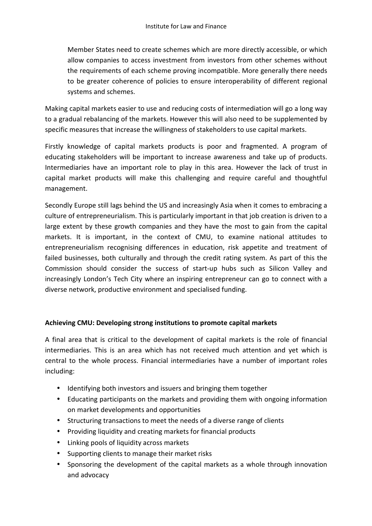Member States need to create schemes which are more directly accessible, or which allow companies to access investment from investors from other schemes without the requirements of each scheme proving incompatible. More generally there needs to be greater coherence of policies to ensure interoperability of different regional systems and schemes.

Making capital markets easier to use and reducing costs of intermediation will go a long way to a gradual rebalancing of the markets. However this will also need to be supplemented by specific measures that increase the willingness of stakeholders to use capital markets.

Firstly knowledge of capital markets products is poor and fragmented. A program of educating stakeholders will be important to increase awareness and take up of products. Intermediaries have an important role to play in this area. However the lack of trust in capital market products will make this challenging and require careful and thoughtful management.

Secondly Europe still lags behind the US and increasingly Asia when it comes to embracing a culture of entrepreneurialism. This is particularly important in that job creation is driven to a large extent by these growth companies and they have the most to gain from the capital markets. It is important, in the context of CMU, to examine national attitudes to entrepreneurialism recognising differences in education, risk appetite and treatment of failed businesses, both culturally and through the credit rating system. As part of this the Commission should consider the success of start-up hubs such as Silicon Valley and increasingly London's Tech City where an inspiring entrepreneur can go to connect with a diverse network, productive environment and specialised funding.

## **Achieving CMU: Developing strong institutions to promote capital markets**

A final area that is critical to the development of capital markets is the role of financial intermediaries. This is an area which has not received much attention and yet which is central to the whole process. Financial intermediaries have a number of important roles including:

- Identifying both investors and issuers and bringing them together
- Educating participants on the markets and providing them with ongoing information on market developments and opportunities
- Structuring transactions to meet the needs of a diverse range of clients
- Providing liquidity and creating markets for financial products
- Linking pools of liquidity across markets
- Supporting clients to manage their market risks
- Sponsoring the development of the capital markets as a whole through innovation and advocacy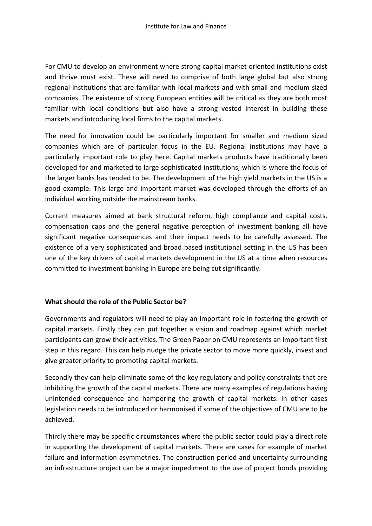For CMU to develop an environment where strong capital market oriented institutions exist and thrive must exist. These will need to comprise of both large global but also strong regional institutions that are familiar with local markets and with small and medium sized companies. The existence of strong European entities will be critical as they are both most familiar with local conditions but also have a strong vested interest in building these markets and introducing local firms to the capital markets.

The need for innovation could be particularly important for smaller and medium sized companies which are of particular focus in the EU. Regional institutions may have a particularly important role to play here. Capital markets products have traditionally been developed for and marketed to large sophisticated institutions, which is where the focus of the larger banks has tended to be. The development of the high yield markets in the US is a good example. This large and important market was developed through the efforts of an individual working outside the mainstream banks.

Current measures aimed at bank structural reform, high compliance and capital costs, compensation caps and the general negative perception of investment banking all have significant negative consequences and their impact needs to be carefully assessed. The existence of a very sophisticated and broad based institutional setting in the US has been one of the key drivers of capital markets development in the US at a time when resources committed to investment banking in Europe are being cut significantly.

## **What should the role of the Public Sector be?**

Governments and regulators will need to play an important role in fostering the growth of capital markets. Firstly they can put together a vision and roadmap against which market participants can grow their activities. The Green Paper on CMU represents an important first step in this regard. This can help nudge the private sector to move more quickly, invest and give greater priority to promoting capital markets.

Secondly they can help eliminate some of the key regulatory and policy constraints that are inhibiting the growth of the capital markets. There are many examples of regulations having unintended consequence and hampering the growth of capital markets. In other cases legislation needs to be introduced or harmonised if some of the objectives of CMU are to be achieved.

Thirdly there may be specific circumstances where the public sector could play a direct role in supporting the development of capital markets. There are cases for example of market failure and information asymmetries. The construction period and uncertainty surrounding an infrastructure project can be a major impediment to the use of project bonds providing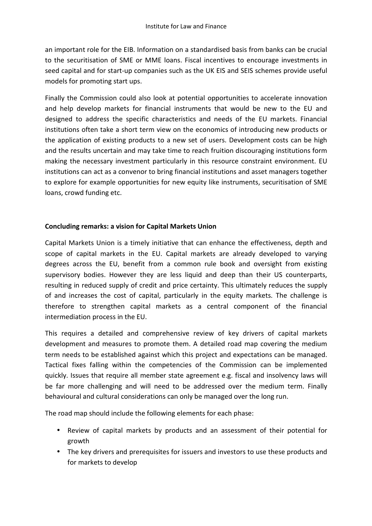an important role for the EIB. Information on a standardised basis from banks can be crucial to the securitisation of SME or MME loans. Fiscal incentives to encourage investments in seed capital and for start-up companies such as the UK EIS and SEIS schemes provide useful models for promoting start ups.

Finally the Commission could also look at potential opportunities to accelerate innovation and help develop markets for financial instruments that would be new to the EU and designed to address the specific characteristics and needs of the EU markets. Financial institutions often take a short term view on the economics of introducing new products or the application of existing products to a new set of users. Development costs can be high and the results uncertain and may take time to reach fruition discouraging institutions form making the necessary investment particularly in this resource constraint environment. EU institutions can act as a convenor to bring financial institutions and asset managers together to explore for example opportunities for new equity like instruments, securitisation of SME loans, crowd funding etc.

## **Concluding remarks: a vision for Capital Markets Union**

Capital Markets Union is a timely initiative that can enhance the effectiveness, depth and scope of capital markets in the EU. Capital markets are already developed to varying degrees across the EU, benefit from a common rule book and oversight from existing supervisory bodies. However they are less liquid and deep than their US counterparts, resulting in reduced supply of credit and price certainty. This ultimately reduces the supply of and increases the cost of capital, particularly in the equity markets. The challenge is therefore to strengthen capital markets as a central component of the financial intermediation process in the EU.

This requires a detailed and comprehensive review of key drivers of capital markets development and measures to promote them. A detailed road map covering the medium term needs to be established against which this project and expectations can be managed. Tactical fixes falling within the competencies of the Commission can be implemented quickly. Issues that require all member state agreement e.g. fiscal and insolvency laws will be far more challenging and will need to be addressed over the medium term. Finally behavioural and cultural considerations can only be managed over the long run.

The road map should include the following elements for each phase:

- Review of capital markets by products and an assessment of their potential for growth
- The key drivers and prerequisites for issuers and investors to use these products and for markets to develop